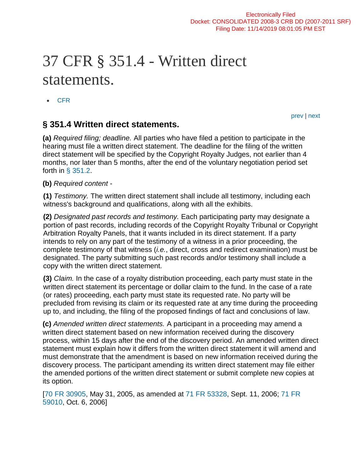## 37 CFR § 351.4 - Written direct statements.

**CFR** 

[prev](https://www.law.cornell.edu/cfr/text/37/351.3) | [next](https://www.law.cornell.edu/cfr/text/37/351.5)

## **§ 351.4 Written direct statements.**

**(a)** *Required filing; deadline.* All parties who have filed a petition to participate in the hearing must file a written direct statement. The deadline for the filing of the written direct statement will be specified by the Copyright Royalty Judges, not earlier than 4 months, nor later than 5 months, after the end of the voluntary negotiation period set forth in [§ 351.2.](https://www.law.cornell.edu/cfr/text/37/351.2)

**(b)** *Required content* -

**(1)** *Testimony.* The written direct statement shall include all testimony, including each witness's background and qualifications, along with all the exhibits.

**(2)** *Designated past records and testimony.* Each participating party may designate a portion of past records, including records of the Copyright Royalty Tribunal or Copyright Arbitration Royalty Panels, that it wants included in its direct statement. If a party intends to rely on any part of the testimony of a witness in a prior proceeding, the complete testimony of that witness (*i.e.*, direct, cross and redirect examination) must be designated. The party submitting such past records and/or testimony shall include a copy with the written direct statement.

**(3)** *Claim.* In the case of a royalty distribution proceeding, each party must state in the written direct statement its percentage or dollar claim to the fund. In the case of a rate (or rates) proceeding, each party must state its requested rate. No party will be precluded from revising its claim or its requested rate at any time during the proceeding up to, and including, the filing of the proposed findings of fact and conclusions of law.

**(c)** *Amended written direct statements.* A participant in a proceeding may amend a written direct statement based on new information received during the discovery process, within 15 days after the end of the discovery period. An amended written direct statement must explain how it differs from the written direct statement it will amend and must demonstrate that the amendment is based on new information received during the discovery process. The participant amending its written direct statement may file either the amended portions of the written direct statement or submit complete new copies at its option.

[\[70 FR 30905,](https://www.law.cornell.edu/rio/citation/70_FR_30905) May 31, 2005, as amended at [71 FR 53328,](https://www.law.cornell.edu/rio/citation/71_FR_53328) Sept. 11, 2006; [71 FR](https://www.law.cornell.edu/rio/citation/71_FR_59010)  [59010,](https://www.law.cornell.edu/rio/citation/71_FR_59010) Oct. 6, 2006]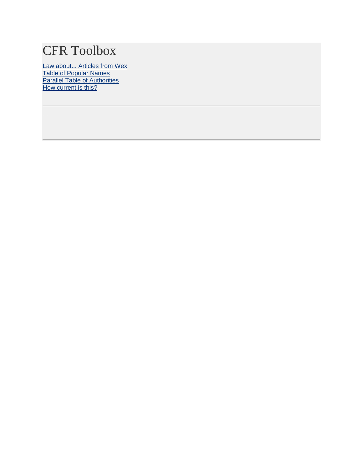## CFR Toolbox

[Law about... Articles from Wex](https://www.law.cornell.edu/wex/wex_articles) [Table of Popular Names](https://www.law.cornell.edu/topn) **[Parallel Table of Authorities](https://www.law.cornell.edu/ptoa)** [How current is this?](https://www.law.cornell.edu/uscode/about/how-current)